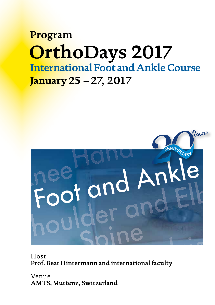# **Program OrthoDays 2017 International Foot and Ankle Course January 25 – 27, 2017**



Host **Prof. Beat Hintermann and international faculty**

Venue **AMTS, Muttenz, Switzerland**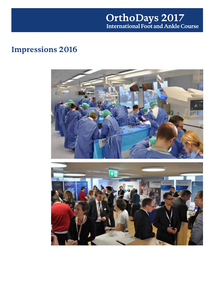### **OrthoDays 2017 International Foot and Ankle Course**

## **Impressions 2016**



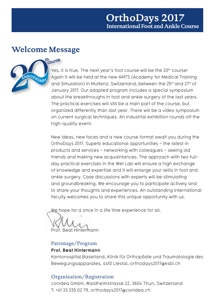### **Welcome Message**



### th<sub>ourse</sub>

Yes, it is true. The next year's foot course will be the 20<sup>th</sup> course! Again it will be held at the new AMTS (Academy for Medical Training and Simulation) in Muttenz, Switzerland, between the 25<sup>th</sup> and 27<sup>th</sup> of January 2017. Our adapted program includes a special symposium about the breakthroughs in foot and ankle surgery of the last years. The practical exercises will still be a main part of the course, but organized differently than last year. There will be a video symposium on current surgical techniques. An industrial exhibition rounds off the high-quality event.

New ideas, new faces and a new course format await you during the OrthoDays 2017. Superb educational opportunities – the latest in products and services – networking with colleagues – seeing old friends and making new acquaintances. The approach with two fullday practical exercises in the Wet Lab will ensure a high exchange of knowledge and expertise and it will enlarge your skills in foot and ankle surgery. Case discussions with experts will be stimulating and groundbreaking. We encourage you to participate actively and to share your thoughts and experiences. An outstanding international faculty welcomes you to share this unique opportunity with us.

We hope for a once in a life time experience for all.

Prof. Beat Hintermann

#### Patronage/Program

#### **Prof. Beat Hintermann**

Kantonsspital Baselland, Klinik für Orthopädie und Traumatologie des Bewegungsapparates, 4410 Liestal, orthodays2017@ksbl.ch

### Organization/Registration

conidea GmbH, Waldheimstrasse 22, 3604 Thun, Switzerland T: +41 33 335 02 79, orthodays2017@conidea.ch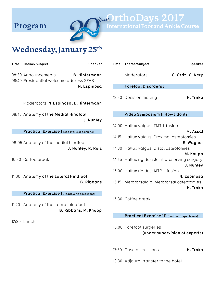

**Wednesday, January 25th**

| Time Theme/Subject                                             | Speaker              |
|----------------------------------------------------------------|----------------------|
| 08:30 Announcements<br>08:40 Presidential welcome address SFAS | <b>B. Hintermann</b> |
|                                                                | N. Espinosa          |
| Moderators N.Espinosa, B.Hintermann                            |                      |

08:45 **Anatomy of the Medial Hindfoot J. Nunley**

**Practical Exercise I (cadaveric specimens)**

09:05 Anatomy of the medial hindfoot **J. Nunley, R. Ruiz**

10:30 Coffee break

11:00 **Anatomy of the Lateral Hindfoot B. Ribbans**

**Practical Exercise II (cadaveric specimens)**

11:20 Anatomy of the lateral hindfoot **B. Ribbans, M. Knupp**

12:30 Lunch

**Time Theme/Subject Speaker** Moderators **C. Ortiz, C. Nery**

 **International Foot and Ankle Course**

**Forefoot Disorders I**

13:30 Decision making **H. Trnka**

#### **Video Symposium I: How I do it?**

14:00 Hallux valgus: TMT 1-fusion **M. Assal** 14:15 Hallux valgus: Proximal osteotomies **E. Wagner** 14:30 Hallux valgus: Distal osteotomies **M. Knupp** 14:45 Hallux rigidus: Joint preserving surgery **J. Nunley** 15:00 Hallux rigidus: MTP 1-fusion **N. Espinosa** 15:15 Metatarsalgia: Metatarsal osteotomies **H. Trnka**

15:30 Coffee break

**Practical Exercise III (cadaveric specimens)**

16:00 Forefoot surgeries **(under supervision of experts)**

17:30 Case discussions **H. Trnka**

18:30 Adjourn, transfer to the hotel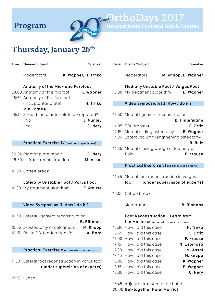

**Thursday, January 26th**

| Time | Theme/Subject                                                                                     |                                | Speaker              |
|------|---------------------------------------------------------------------------------------------------|--------------------------------|----------------------|
|      | Moderators                                                                                        | K. Wapner, H. Trnka            |                      |
|      | Anatomy of the Mid- and Forefoot<br>08:00 Anatomy of the midfoot<br>08:20 Anatomy of the forefoot |                                | K. Wapner            |
|      | (incl. plantar plate)<br>Mini-Battle                                                              |                                | H. Trnka             |
|      | 08:40 Should the plantar plate be repaired?<br>$\cdot$ No<br>$\cdot$ Yes                          |                                | J. Nunley<br>C. Nery |
|      | Practical Exercise IV (cadaveric specimens)                                                       |                                |                      |
|      | 09:00 Plantar plate repair<br>09:30 Lisfranc reconstruction                                       |                                | C. Nery<br>M. Assal  |
|      | 10:00 Coffee break                                                                                |                                |                      |
|      | Laterally Unstable Foot / Varus Foot<br>10:30 My treatment algorithm                              |                                | F. Krause            |
|      | Video Symposium II: How I do it ?                                                                 |                                |                      |
|      | 10:50 Lateral ligament reconstruction                                                             |                                | <b>B.</b> Ribbans    |
|      | 10:05 Z-osteotomy of calcaneus<br>10:15 PL- to PB-tendon transfer                                 |                                | M. Knupp<br>A. Barg  |
|      | <b>Practical Exercise V (cadaveric specimens)</b>                                                 |                                |                      |
|      | 11:30 Lateral foot reconstruction in varus foot                                                   | (under supervision of experts) |                      |
|      | 12:30 Lunch                                                                                       |                                |                      |

| Time  | Theme/Subject                                                                                                                                                    | Speaker                          |
|-------|------------------------------------------------------------------------------------------------------------------------------------------------------------------|----------------------------------|
|       | Moderators                                                                                                                                                       | M. Knupp, E. Wagner              |
|       | Medially Unstable Foot / Valgus Foot<br>13:30 My treatment algorithm                                                                                             | E. Wagner                        |
|       | Video Symposium III: How I do it ?                                                                                                                               |                                  |
|       | 13:50 Medial ligament reconstruction                                                                                                                             | <b>B. Hintermann</b>             |
|       | 14:05 FDL-transfer<br>14:15 Medial sliding osteotomy E. Wagner<br>14:25 Lateral column lengthening osteotomy<br>14:35 Medial closing wedge osteotomy of<br>tibia | C. Ortiz<br>R. Ruiz<br>F. Krause |
|       | <b>Practical Exercise VI</b> (cadaveric specimens)                                                                                                               |                                  |
|       |                                                                                                                                                                  |                                  |
|       | 14:45 Medial foot reconstruction in valgus<br>foot                                                                                                               | (under supervision of experts)   |
|       | 16:00 Coffee break                                                                                                                                               |                                  |
|       | Moderator                                                                                                                                                        | <b>B.</b> Ribbans                |
|       | <b>Foot Reconstruction – Learn from</b>                                                                                                                          |                                  |
|       | the Master (Case based discussion round)                                                                                                                         |                                  |
| 16:30 | How I did this case                                                                                                                                              | H. Trnka                         |
| 16:45 | How I did this case                                                                                                                                              | C. Ortiz                         |
| 17:00 | How I did this case                                                                                                                                              | F. Krause                        |
| 17:15 | How I did this case                                                                                                                                              | N. Espinosa                      |
| 17:30 | How I did this case                                                                                                                                              | M. Assal                         |
| 17:45 | How I did this case                                                                                                                                              | M. Knupp                         |
| 18:00 | How I did this case                                                                                                                                              | K. Wapner                        |
| 18:15 | How I did this case<br>18:30 How I did this case                                                                                                                 | E. Wagner<br>C. Nery             |
|       |                                                                                                                                                                  |                                  |
| 18:45 | Adjourn, transfer to the hotel                                                                                                                                   |                                  |

20:00 **Get-together Hotel Marriot**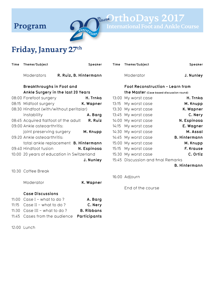

**Program Computer Course PthoDays 2017** 

# **Friday, January 27th**

| Time | Theme/Subject                                |                        | Speaker     | Time | Theme/Subject                            | Speaker              |
|------|----------------------------------------------|------------------------|-------------|------|------------------------------------------|----------------------|
|      | Moderators                                   | R. Ruiz, B. Hintermann |             |      | Moderator                                | J. Nunley            |
|      | Breakthroughs in Foot and                    |                        |             |      | <b>Foot Reconstruction - Learn from</b>  |                      |
|      | Ankle Surgery in the last 20 Years           |                        |             |      | the Master (Case based discussion round) |                      |
|      | 08:00 Forefoot surgery                       |                        | H. Trnka    |      | 13:00 My worst case                      | H. Trnka             |
|      | 08:15 Midfoot surgery                        |                        | K. Wapner   |      | 13:15 My worst case                      | M. Knupp             |
|      | 08:30 Hindfoot (with/without peritalar)      |                        |             |      | 13:30 My worst case                      | K. Wapner            |
|      | instability                                  |                        | A. Barg     |      | 13:45 My worst case                      | C. Nery              |
|      | 08:45 Acquired flatfoot of the adult         |                        | R. Ruiz     |      | 14:00 My worst case                      | N. Espinosa          |
|      | 09:00 Ankle osteoarthritis:                  |                        |             |      | 14:15 My worst case                      | E. Wagner            |
|      | joint preserving surgery                     |                        | M. Knupp    |      | 14:30 My worst case                      | M. Assal             |
|      | 09:20 Ankle osteoarthritis:                  |                        |             |      | 14:45 My worst case                      | <b>B. Hintermann</b> |
|      | total ankle replacement <b>B. Hintermann</b> |                        |             |      | 15:00 My worst case                      | M. Knupp             |
|      | 09:40 Hindfoot fusion                        |                        | N. Espinosa |      | 15:15 My worst case                      | F. Krause            |
|      | 10:00 20 years of education in Switzerland   |                        |             |      | 15:30 My worst case                      | C. Ortiz             |
|      |                                              |                        | J. Nunley   |      | 15:45 Discussion and final Remarks       |                      |
|      |                                              |                        |             |      |                                          | <b>B. Hintermann</b> |
|      | 10:30 Coffee Break                           |                        |             |      |                                          |                      |
|      |                                              |                        |             |      | 16:00 Adjourn                            |                      |
|      | Moderator                                    |                        | K. Wapner   |      |                                          |                      |
|      |                                              |                        |             |      | End of the course                        |                      |
|      | <b>Case Discussions</b>                      |                        |             |      |                                          |                      |
|      | $1100 \text{ Case 1}$ $\ldots$ batta da 2    |                        | $A$ $D - -$ |      |                                          |                      |

| A. Barg           | 11:00 Case I - what to do ?   |  |
|-------------------|-------------------------------|--|
| C. Nery           |                               |  |
| <b>B.</b> Ribbans | 11:30 Case III - what to do ? |  |
|                   |                               |  |

12:00 Lunch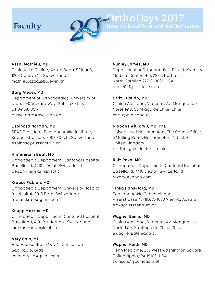

# **Faculty Course IthoDays 2017**

**Assal Mathieu, MD**

Clinique La Colline, Av. de Beau-Séjour 6, 1206 Genève 14, Switzerland mathieu.assal@bluewin.ch

#### **Barg Alexej, MD**

Department of Orthopaedics, University of Utah, 590 Wakara Way, Salt Lake City, UT 84108, USA alexej.barg@hsc.utah.edu

#### **Espinosa Norman, MD**

SFAS President, Foot and Ankle Institute, Kappelistrasse 7, 8002 Zürich, Switzerland espinosa@fussinstitut.ch

#### **Hintermann Beat, MD**

Orthopaedic Department, Cantonal Hospital Baselland, 4410 Liestal, Switzerland beat.hintermann@ksbl.ch

#### **Krause Fabian, MD**

Orthopaedic Department, University Hospital Inselspital, 3010 Bern, Switzerland fabian.krause@insel.ch

#### **Knupp Markus, MD**

Orthopaedic Department, Cantonal Hospital Baselland, 4101 Bruderholz, Switzerland markus.knupp@ksbl.ch

**Nery Caio, MD** Rua Afonso Bràs 817, V.N. Concalcao Sao Paulo, Brazil caionerymd@gmail.com

#### **Nunley James, MD**

Department of Orthopaedics, Duke University Medical Center, Box 2923, Durham, North Carolina 27710-0001, USA nunle001@mc.duke.edu

#### **Ortiz Cristián, MD**

Clinica Alemana, Vitacura, Av. Manquehue Norte 1410, Santiago de Chile, Chile cortiz@alemana.cl

#### **Ribbans William J, MD, PhD**

University of Northampton, The County Clinic, 57 Billing Road, Northampton, NN1 5DB, United Kingdom billribbs@uk-doctors.co.uk

#### **Ruiz Roxa, MD**

Orthopaedic Department, Cantonal Hospital Baselland, 4410 Liestal, Switzerland roxarw@yahoo.com

#### **Trnka Hans-Jörg, MD**

Foot and Ankle Center Vienna, Alserstrasse 43/8D, A-1080 Vienna, Austria trnka@fusszentrum.at

#### **Wagner Emilio, MD**

Clinica Alemana, Vitacura, Av. Manquehue Norte 1410, Santiago de Chile, Chile ewagner@alemana.cl

#### **Wapner Keith, MD** Penn Medicine, 230 West Washington Square, Philadelphia, PA 19106, USA twinsuns1@comcast.net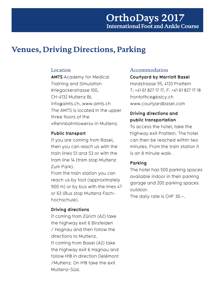### **Venues, Driving Directions, Parking**

#### Location

**AMTS** Academy for Medical Training and Simulation Kriegackerstrasse 100, CH-4132 Muttenz BL info@amts.ch, www.amts.ch The AMTS is located in the upper three floors of the «Rennbahntowers» in Muttenz.

#### **Public transport**

If you are coming from Basel, then you can reach us with the train lines S1 and S3 or with the tram line 14 (tram stop Muttenz Zum Park).

From the train station you can reach us by foot (approximately 900 m) or by bus with the lines 47 or 63 (Bus stop Muttenz Fachhochschule).

#### **Driving directions**

If coming from Zürich (A2) take the highway exit 6 Birsfelden / Hagnau and then follow the directions to Muttenz. If coming from Basel (A2) take the highway exit 6 Hagnau and follow H18 in direction Delémont /Muttenz. On H18 take the exit Muttenz-Süd.

#### Accommodation

#### **Courtyard by Marriott Basel**

Hardstrasse 55, 4133 Pratteln T: +41 61 827 17 17, F: +41 61 827 17 18 frontoffice@bslcy.ch www.courtyardbasel.com

### **Driving directions and public transportation**

To access the hotel, take the highway exit Pratteln. The hotel can then be reached within two minutes. From the train station it is an 8 minute walk.

#### **Parking**

The hotel has 500 parking spaces available indoor in their parking garage and 200 parking spaces outdoor.

The daily rate is CHF 30.–.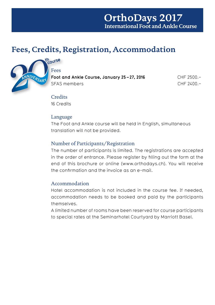### **OrthoDays 2017 International Foot and Ankle Course**

## **Fees, Credits, Registration, Accommodation**



### Course

**Foot and Ankle Course, January 25 – 27, 2016** CHF 2500.– SFAS members CHF 2400.–

### **Credits**

16 Credits

### Language

The Foot and Ankle course will be held in English, simultaneous translation will not be provided.

### Number of Participants/Registration

The number of participants is limited. The registrations are accepted in the order of entrance. Please register by filling out the form at the end of this brochure or online (www.orthodays.ch). You will receive the confirmation and the invoice as an e-mail.

### Accommodation

Hotel accommodation is not included in the course fee. If needed, accommodation needs to be booked and paid by the participants themselves.

A limited number of rooms have been reserved for course participants to special rates at the Seminarhotel Courtyard by Marriott Basel.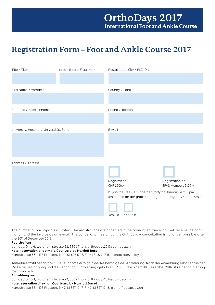## **Registration Form – Foot and Ankle Course 2017**

| Title / Titel<br>Miss, Mister / Frau, Herr |  | Postal code, City / PLZ, Ort                                                                                                   |                     |  |
|--------------------------------------------|--|--------------------------------------------------------------------------------------------------------------------------------|---------------------|--|
|                                            |  |                                                                                                                                |                     |  |
|                                            |  |                                                                                                                                |                     |  |
| First Name / Vorname                       |  | Country / Land                                                                                                                 |                     |  |
|                                            |  |                                                                                                                                |                     |  |
|                                            |  |                                                                                                                                |                     |  |
| Surname / Familienname                     |  | Phone / Telefon                                                                                                                |                     |  |
|                                            |  |                                                                                                                                |                     |  |
|                                            |  | E-Mail                                                                                                                         |                     |  |
| University, Hospital / Universität, Spital |  |                                                                                                                                |                     |  |
|                                            |  |                                                                                                                                |                     |  |
|                                            |  |                                                                                                                                |                     |  |
|                                            |  |                                                                                                                                |                     |  |
| Address / Adresse                          |  |                                                                                                                                |                     |  |
|                                            |  |                                                                                                                                |                     |  |
|                                            |  | Registration                                                                                                                   | Registration as     |  |
|                                            |  | CHF 2500.-                                                                                                                     | SFAS Member, 2400.- |  |
|                                            |  | I'll join the free Get-Together Party on January 26th, 8 pm<br>Ich nehme an der gratis Get-Together Party am 26. Jan. 20h teil |                     |  |
|                                            |  |                                                                                                                                |                     |  |
|                                            |  | Yes/Ja<br>No/Nein                                                                                                              |                     |  |

The number of participants is limited. The registrations are accepted in the order of entrance. You will receive the confirmation and the invoice as an e-mail. The cancellation fee amount is CHF 100.–. A cancellation is no longer possible after the 30th of December 2016.

**Registration:**

conidea GmbH, Waldheimstrasse 22, 3604 Thun, orthodays2017@conidea.ch **Hotel reservation directly via Courtyard by Marriott Basel** Hardstrasse 55, 4133 Pratteln, T: +41 61 827 17 17, F: +41 61 827 17 18, frontoffice@bslcy.ch

Teilnehmerzahl beschränkt. Die Teilnahme erfolgt in der Reihenfolge der Anmeldung. Nach der Anmeldung erhalten Sie per Mail eine Bestätigung und die Rechnung. Stornierungsgebühr CHF 100.–. Nach dem 30. Dezember 2016 ist keine Stornierung mehr möglich.

#### **Anmeldung an:**

conidea GmbH, Waldheimstrasse 22, 3604 Thun, orthodays2017@conidea.ch

**Hotelreservation direkt an Courtyard by Marriott Basel**

Hardstrasse 55, 4133 Pratteln, T: +41 61 827 17 17, F: +41 61 827 17 18, frontoffice@bslcy.ch